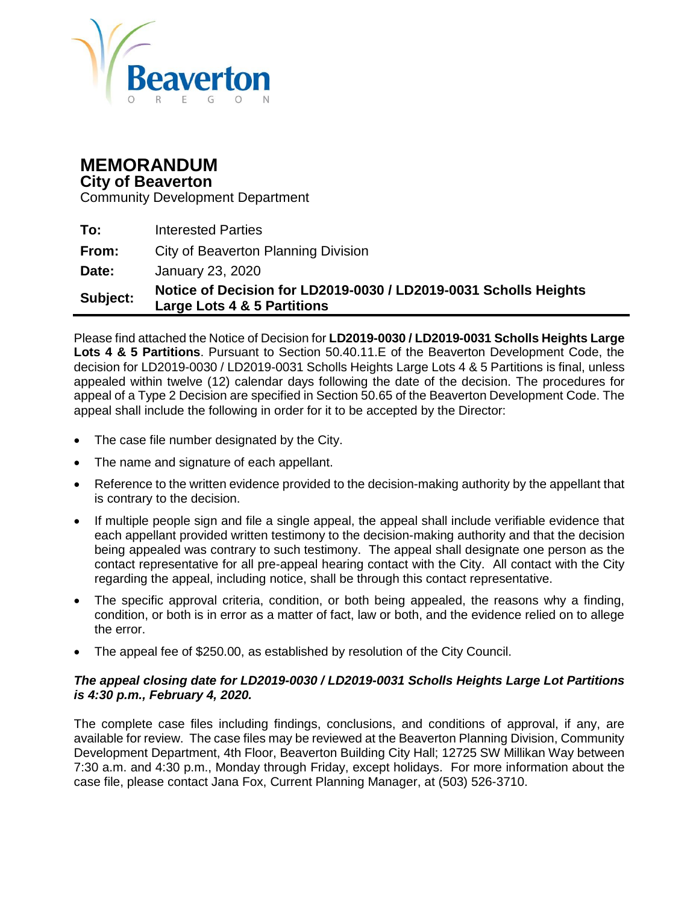

## **MEMORANDUM**

#### **City of Beaverton**

Community Development Department

| Subject: | Notice of Decision for LD2019-0030 / LD2019-0031 Scholls Heights<br>Large Lots 4 & 5 Partitions |
|----------|-------------------------------------------------------------------------------------------------|
| Date:    | January 23, 2020                                                                                |
| From:    | City of Beaverton Planning Division                                                             |
| To:      | <b>Interested Parties</b>                                                                       |

Please find attached the Notice of Decision for **LD2019-0030 / LD2019-0031 Scholls Heights Large Lots 4 & 5 Partitions**. Pursuant to Section 50.40.11.E of the Beaverton Development Code, the decision for LD2019-0030 / LD2019-0031 Scholls Heights Large Lots 4 & 5 Partitions is final, unless appealed within twelve (12) calendar days following the date of the decision. The procedures for appeal of a Type 2 Decision are specified in Section 50.65 of the Beaverton Development Code. The appeal shall include the following in order for it to be accepted by the Director:

- The case file number designated by the City.
- The name and signature of each appellant.
- Reference to the written evidence provided to the decision-making authority by the appellant that is contrary to the decision.
- If multiple people sign and file a single appeal, the appeal shall include verifiable evidence that each appellant provided written testimony to the decision-making authority and that the decision being appealed was contrary to such testimony. The appeal shall designate one person as the contact representative for all pre-appeal hearing contact with the City. All contact with the City regarding the appeal, including notice, shall be through this contact representative.
- The specific approval criteria, condition, or both being appealed, the reasons why a finding, condition, or both is in error as a matter of fact, law or both, and the evidence relied on to allege the error.
- The appeal fee of \$250.00, as established by resolution of the City Council.

#### *The appeal closing date for LD2019-0030 / LD2019-0031 Scholls Heights Large Lot Partitions is 4:30 p.m., February 4, 2020.*

The complete case files including findings, conclusions, and conditions of approval, if any, are available for review. The case files may be reviewed at the Beaverton Planning Division, Community Development Department, 4th Floor, Beaverton Building City Hall; 12725 SW Millikan Way between 7:30 a.m. and 4:30 p.m., Monday through Friday, except holidays. For more information about the case file, please contact Jana Fox, Current Planning Manager, at (503) 526-3710.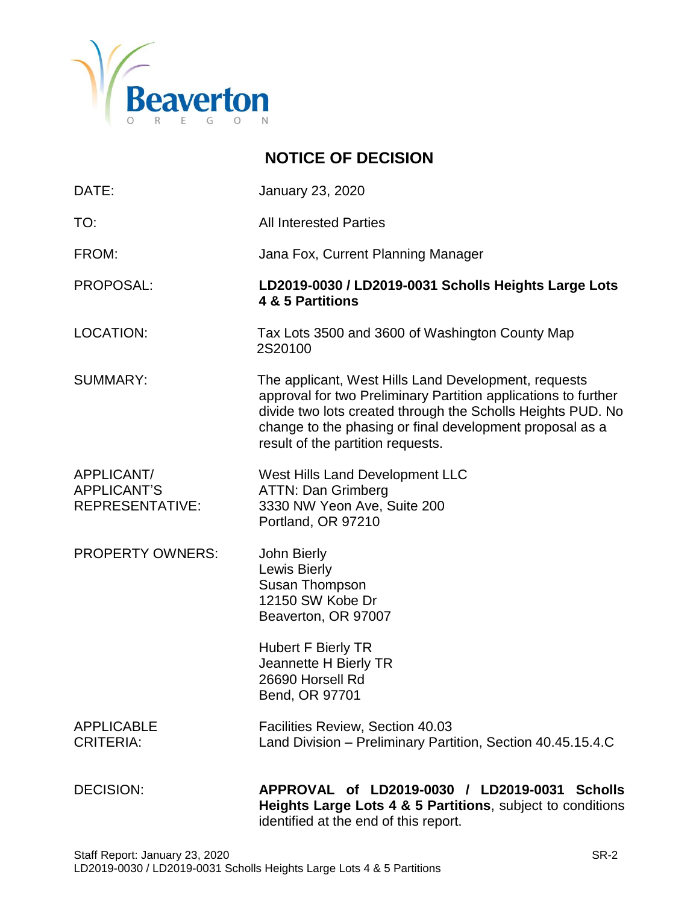

## **NOTICE OF DECISION** DATE: January 23, 2020 TO: All Interested Parties FROM: Jana Fox, Current Planning Manager PROPOSAL: **LD2019-0030 / LD2019-0031 Scholls Heights Large Lots 4 & 5 Partitions** LOCATION: Tax Lots 3500 and 3600 of Washington County Map 2S20100 SUMMARY: The applicant, West Hills Land Development, requests approval for two Preliminary Partition applications to further divide two lots created through the Scholls Heights PUD. No change to the phasing or final development proposal as a result of the partition requests. APPLICANT/ West Hills Land Development LLC APPLICANT'S ATTN: Dan Grimberg REPRESENTATIVE: 3330 NW Yeon Ave, Suite 200 Portland, OR 97210 PROPERTY OWNERS: John Bierly Lewis Bierly Susan Thompson 12150 SW Kobe Dr Beaverton, OR 97007 Hubert F Bierly TR Jeannette H Bierly TR 26690 Horsell Rd Bend, OR 97701 APPLICABLE Facilities Review, Section 40.03 CRITERIA: Land Division – Preliminary Partition, Section 40.45.15.4.C DECISION: **APPROVAL of LD2019-0030 / LD2019-0031 Scholls Heights Large Lots 4 & 5 Partitions**, subject to conditions

identified at the end of this report.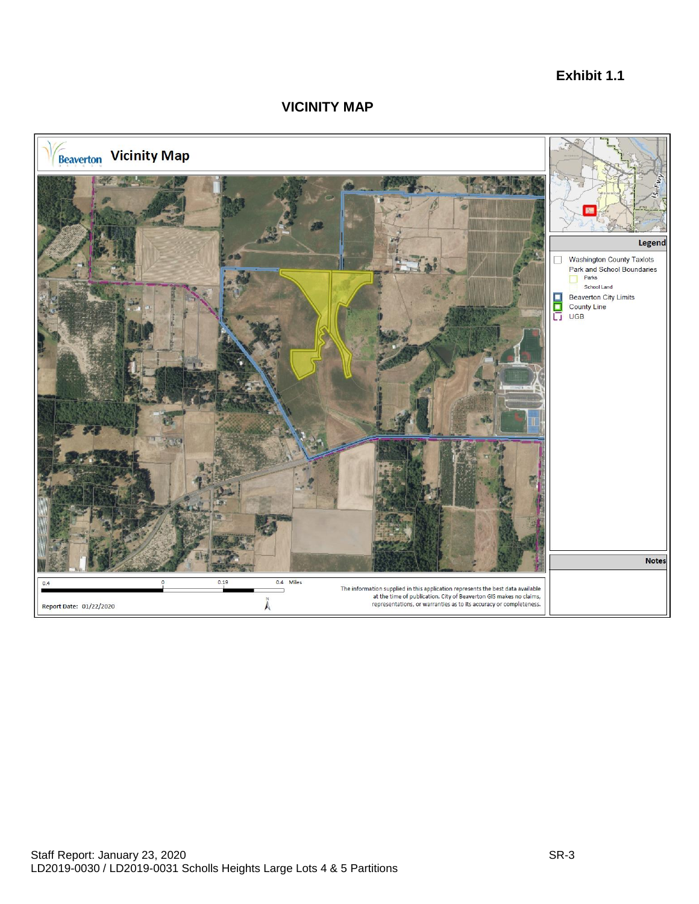## **Exhibit 1.1**

#### **VICINITY MAP**

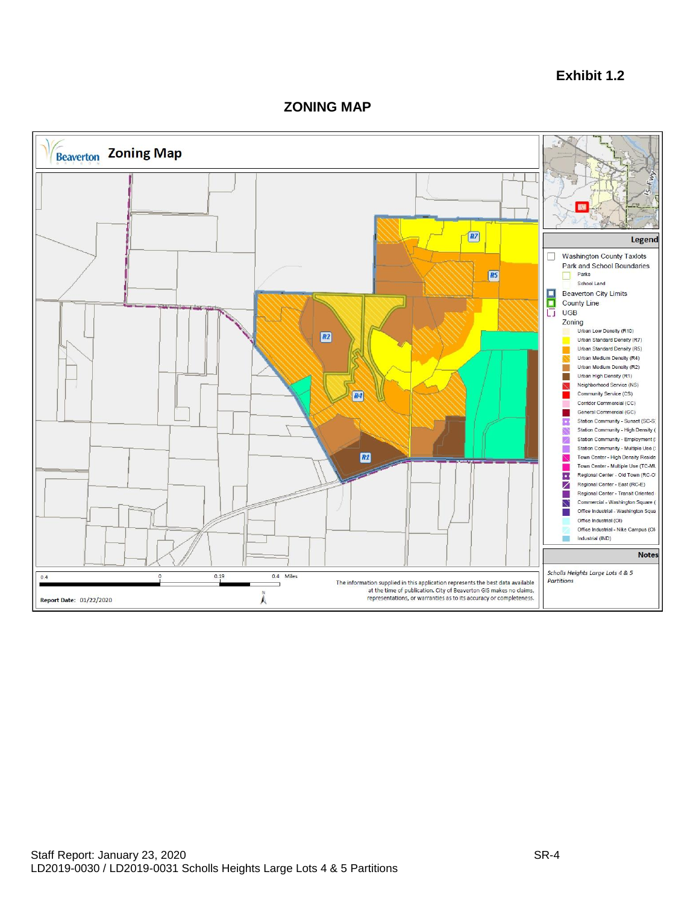#### **Exhibit 1.2**

#### **ZONING MAP**

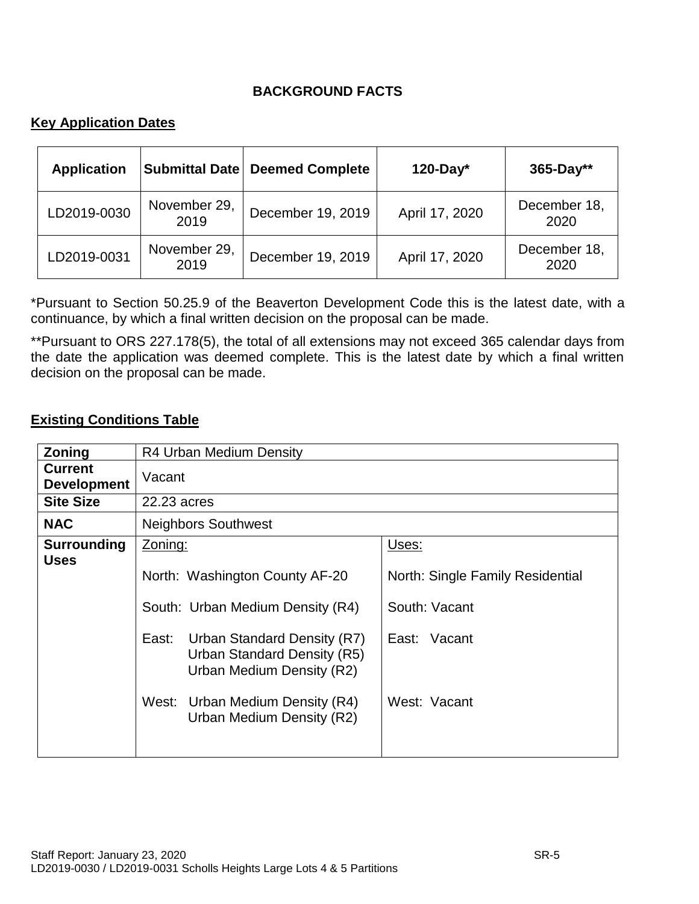## **BACKGROUND FACTS**

## **Key Application Dates**

| <b>Application</b> |                      | Submittal Date Deemed Complete | $120$ -Day*    | $365 - Day**$        |
|--------------------|----------------------|--------------------------------|----------------|----------------------|
| LD2019-0030        | November 29,<br>2019 | December 19, 2019              | April 17, 2020 | December 18,<br>2020 |
| LD2019-0031        | November 29,<br>2019 | December 19, 2019              | April 17, 2020 | December 18,<br>2020 |

\*Pursuant to Section 50.25.9 of the Beaverton Development Code this is the latest date, with a continuance, by which a final written decision on the proposal can be made.

\*\*Pursuant to ORS 227.178(5), the total of all extensions may not exceed 365 calendar days from the date the application was deemed complete. This is the latest date by which a final written decision on the proposal can be made.

#### **Existing Conditions Table**

| Zoning                               | R4 Urban Medium Density                                                                                                                                                                                                                           |                                                                                            |  |
|--------------------------------------|---------------------------------------------------------------------------------------------------------------------------------------------------------------------------------------------------------------------------------------------------|--------------------------------------------------------------------------------------------|--|
| <b>Current</b><br><b>Development</b> | Vacant                                                                                                                                                                                                                                            |                                                                                            |  |
| <b>Site Size</b>                     | 22.23 acres                                                                                                                                                                                                                                       |                                                                                            |  |
| <b>NAC</b>                           | <b>Neighbors Southwest</b>                                                                                                                                                                                                                        |                                                                                            |  |
| <b>Surrounding</b><br><b>Uses</b>    | Zoning:<br>North: Washington County AF-20<br>South: Urban Medium Density (R4)<br>East:<br>Urban Standard Density (R7)<br>Urban Standard Density (R5)<br>Urban Medium Density (R2)<br>West: Urban Medium Density (R4)<br>Urban Medium Density (R2) | Uses:<br>North: Single Family Residential<br>South: Vacant<br>East: Vacant<br>West: Vacant |  |
|                                      |                                                                                                                                                                                                                                                   |                                                                                            |  |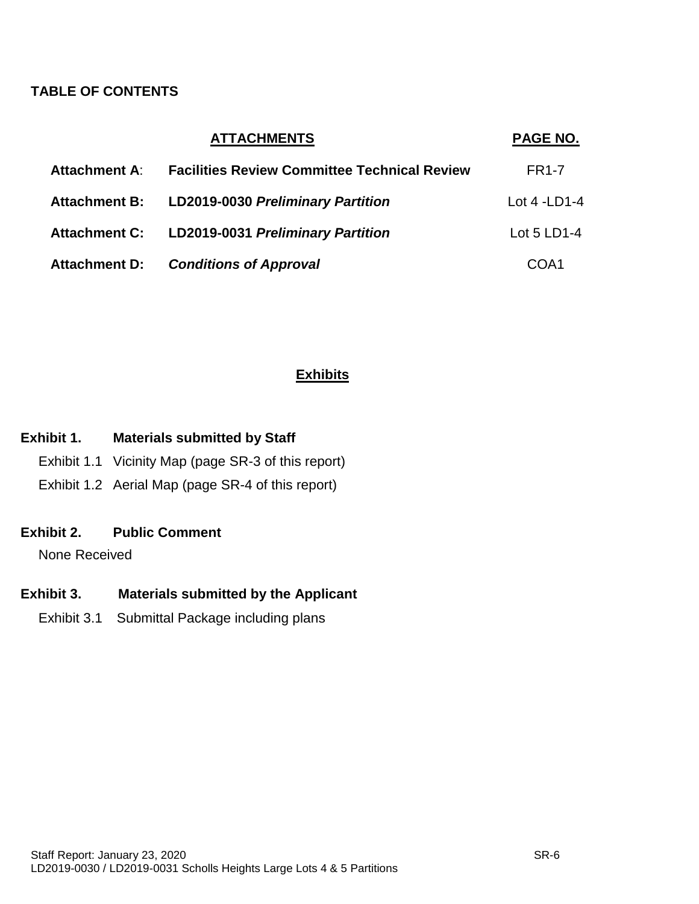## **TABLE OF CONTENTS**

|                      | <b>ATTACHMENTS</b>                                  | PAGE NO.       |
|----------------------|-----------------------------------------------------|----------------|
| <b>Attachment A:</b> | <b>Facilities Review Committee Technical Review</b> | <b>FR1-7</b>   |
|                      | Attachment B: LD2019-0030 Preliminary Partition     | Lot $4$ -LD1-4 |
|                      | Attachment C: LD2019-0031 Preliminary Partition     | Lot 5 LD1-4    |
| Attachment D:        | <b>Conditions of Approval</b>                       | COA1           |

## **Exhibits**

## **Exhibit 1. Materials submitted by Staff**

- Exhibit 1.1 Vicinity Map (page SR-3 of this report)
- Exhibit 1.2 Aerial Map (page SR-4 of this report)

#### **Exhibit 2. Public Comment**

None Received

## **Exhibit 3. Materials submitted by the Applicant**

Exhibit 3.1 Submittal Package including plans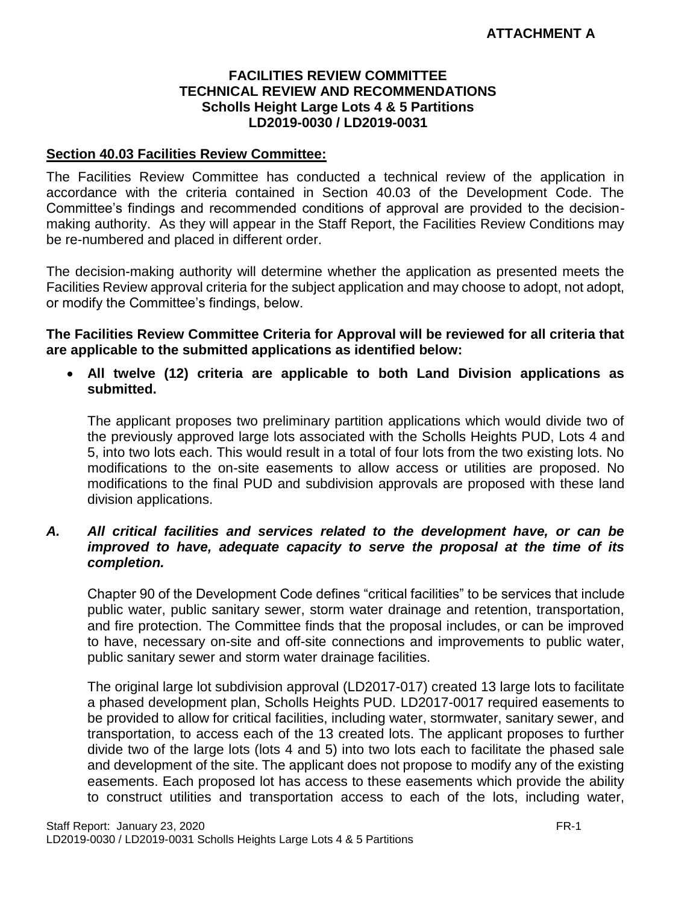#### **FACILITIES REVIEW COMMITTEE TECHNICAL REVIEW AND RECOMMENDATIONS Scholls Height Large Lots 4 & 5 Partitions LD2019-0030 / LD2019-0031**

## **Section 40.03 Facilities Review Committee:**

The Facilities Review Committee has conducted a technical review of the application in accordance with the criteria contained in Section 40.03 of the Development Code. The Committee's findings and recommended conditions of approval are provided to the decisionmaking authority. As they will appear in the Staff Report, the Facilities Review Conditions may be re-numbered and placed in different order.

The decision-making authority will determine whether the application as presented meets the Facilities Review approval criteria for the subject application and may choose to adopt, not adopt, or modify the Committee's findings, below.

**The Facilities Review Committee Criteria for Approval will be reviewed for all criteria that are applicable to the submitted applications as identified below:**

 **All twelve (12) criteria are applicable to both Land Division applications as submitted.**

The applicant proposes two preliminary partition applications which would divide two of the previously approved large lots associated with the Scholls Heights PUD, Lots 4 and 5, into two lots each. This would result in a total of four lots from the two existing lots. No modifications to the on-site easements to allow access or utilities are proposed. No modifications to the final PUD and subdivision approvals are proposed with these land division applications.

#### *A. All critical facilities and services related to the development have, or can be improved to have, adequate capacity to serve the proposal at the time of its completion.*

Chapter 90 of the Development Code defines "critical facilities" to be services that include public water, public sanitary sewer, storm water drainage and retention, transportation, and fire protection. The Committee finds that the proposal includes, or can be improved to have, necessary on-site and off-site connections and improvements to public water, public sanitary sewer and storm water drainage facilities.

The original large lot subdivision approval (LD2017-017) created 13 large lots to facilitate a phased development plan, Scholls Heights PUD. LD2017-0017 required easements to be provided to allow for critical facilities, including water, stormwater, sanitary sewer, and transportation, to access each of the 13 created lots. The applicant proposes to further divide two of the large lots (lots 4 and 5) into two lots each to facilitate the phased sale and development of the site. The applicant does not propose to modify any of the existing easements. Each proposed lot has access to these easements which provide the ability to construct utilities and transportation access to each of the lots, including water,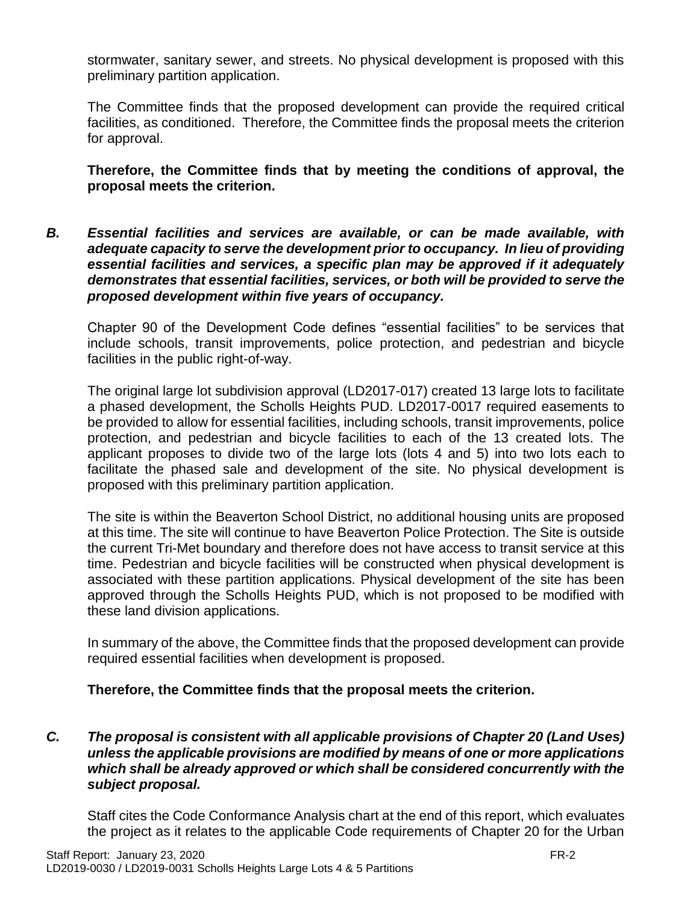stormwater, sanitary sewer, and streets. No physical development is proposed with this preliminary partition application.

The Committee finds that the proposed development can provide the required critical facilities, as conditioned. Therefore, the Committee finds the proposal meets the criterion for approval.

**Therefore, the Committee finds that by meeting the conditions of approval, the proposal meets the criterion.** 

*B. Essential facilities and services are available, or can be made available, with adequate capacity to serve the development prior to occupancy. In lieu of providing essential facilities and services, a specific plan may be approved if it adequately demonstrates that essential facilities, services, or both will be provided to serve the proposed development within five years of occupancy.*

Chapter 90 of the Development Code defines "essential facilities" to be services that include schools, transit improvements, police protection, and pedestrian and bicycle facilities in the public right-of-way.

The original large lot subdivision approval (LD2017-017) created 13 large lots to facilitate a phased development, the Scholls Heights PUD. LD2017-0017 required easements to be provided to allow for essential facilities, including schools, transit improvements, police protection, and pedestrian and bicycle facilities to each of the 13 created lots. The applicant proposes to divide two of the large lots (lots 4 and 5) into two lots each to facilitate the phased sale and development of the site. No physical development is proposed with this preliminary partition application.

The site is within the Beaverton School District, no additional housing units are proposed at this time. The site will continue to have Beaverton Police Protection. The Site is outside the current Tri-Met boundary and therefore does not have access to transit service at this time. Pedestrian and bicycle facilities will be constructed when physical development is associated with these partition applications. Physical development of the site has been approved through the Scholls Heights PUD, which is not proposed to be modified with these land division applications.

In summary of the above, the Committee finds that the proposed development can provide required essential facilities when development is proposed.

#### **Therefore, the Committee finds that the proposal meets the criterion.**

*C. The proposal is consistent with all applicable provisions of Chapter 20 (Land Uses) unless the applicable provisions are modified by means of one or more applications which shall be already approved or which shall be considered concurrently with the subject proposal.*

Staff cites the Code Conformance Analysis chart at the end of this report, which evaluates the project as it relates to the applicable Code requirements of Chapter 20 for the Urban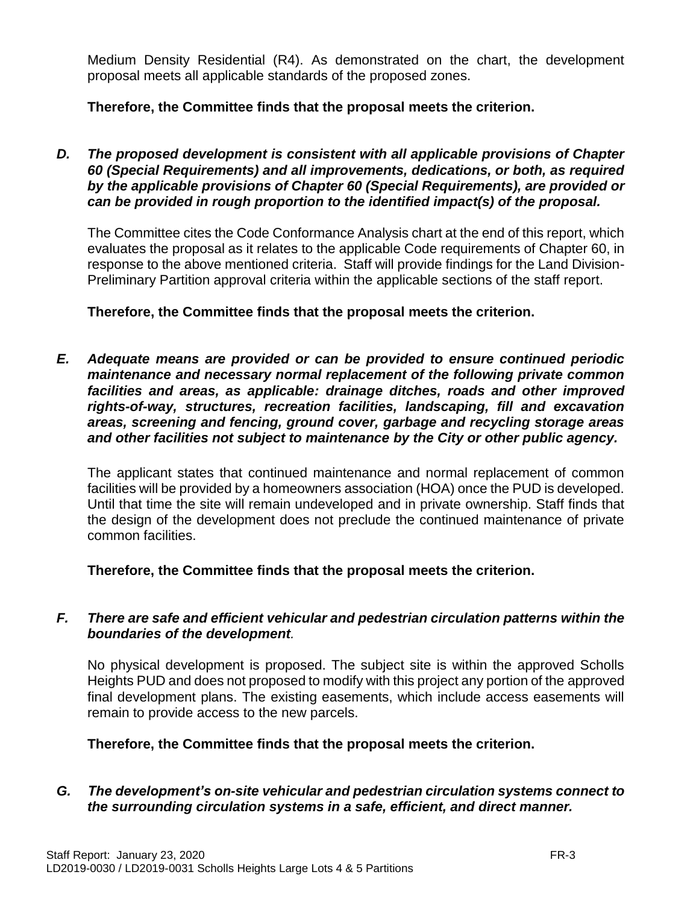Medium Density Residential (R4). As demonstrated on the chart, the development proposal meets all applicable standards of the proposed zones.

## **Therefore, the Committee finds that the proposal meets the criterion.**

*D. The proposed development is consistent with all applicable provisions of Chapter 60 (Special Requirements) and all improvements, dedications, or both, as required by the applicable provisions of Chapter 60 (Special Requirements), are provided or can be provided in rough proportion to the identified impact(s) of the proposal.*

The Committee cites the Code Conformance Analysis chart at the end of this report, which evaluates the proposal as it relates to the applicable Code requirements of Chapter 60, in response to the above mentioned criteria. Staff will provide findings for the Land Division-Preliminary Partition approval criteria within the applicable sections of the staff report.

## **Therefore, the Committee finds that the proposal meets the criterion.**

*E. Adequate means are provided or can be provided to ensure continued periodic maintenance and necessary normal replacement of the following private common facilities and areas, as applicable: drainage ditches, roads and other improved rights-of-way, structures, recreation facilities, landscaping, fill and excavation areas, screening and fencing, ground cover, garbage and recycling storage areas and other facilities not subject to maintenance by the City or other public agency.*

The applicant states that continued maintenance and normal replacement of common facilities will be provided by a homeowners association (HOA) once the PUD is developed. Until that time the site will remain undeveloped and in private ownership. Staff finds that the design of the development does not preclude the continued maintenance of private common facilities.

**Therefore, the Committee finds that the proposal meets the criterion.** 

## *F. There are safe and efficient vehicular and pedestrian circulation patterns within the boundaries of the development.*

No physical development is proposed. The subject site is within the approved Scholls Heights PUD and does not proposed to modify with this project any portion of the approved final development plans. The existing easements, which include access easements will remain to provide access to the new parcels.

**Therefore, the Committee finds that the proposal meets the criterion.**

*G. The development's on-site vehicular and pedestrian circulation systems connect to the surrounding circulation systems in a safe, efficient, and direct manner.*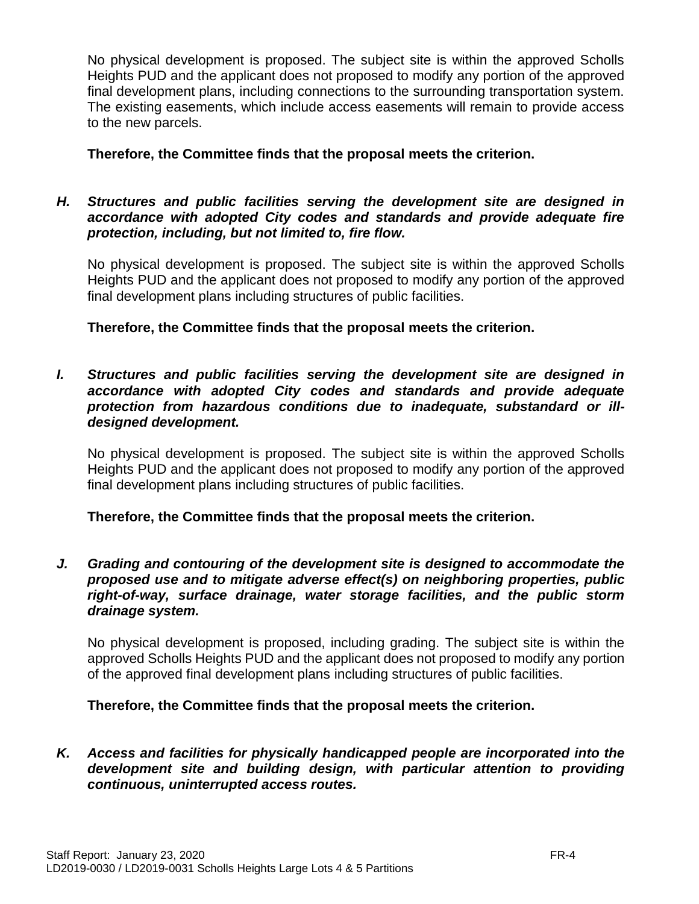No physical development is proposed. The subject site is within the approved Scholls Heights PUD and the applicant does not proposed to modify any portion of the approved final development plans, including connections to the surrounding transportation system. The existing easements, which include access easements will remain to provide access to the new parcels.

## **Therefore, the Committee finds that the proposal meets the criterion.**

## *H. Structures and public facilities serving the development site are designed in accordance with adopted City codes and standards and provide adequate fire protection, including, but not limited to, fire flow.*

No physical development is proposed. The subject site is within the approved Scholls Heights PUD and the applicant does not proposed to modify any portion of the approved final development plans including structures of public facilities.

**Therefore, the Committee finds that the proposal meets the criterion.**

*I. Structures and public facilities serving the development site are designed in accordance with adopted City codes and standards and provide adequate protection from hazardous conditions due to inadequate, substandard or illdesigned development.*

No physical development is proposed. The subject site is within the approved Scholls Heights PUD and the applicant does not proposed to modify any portion of the approved final development plans including structures of public facilities.

## **Therefore, the Committee finds that the proposal meets the criterion.**

*J. Grading and contouring of the development site is designed to accommodate the proposed use and to mitigate adverse effect(s) on neighboring properties, public right-of-way, surface drainage, water storage facilities, and the public storm drainage system.*

No physical development is proposed, including grading. The subject site is within the approved Scholls Heights PUD and the applicant does not proposed to modify any portion of the approved final development plans including structures of public facilities.

#### **Therefore, the Committee finds that the proposal meets the criterion.**

*K. Access and facilities for physically handicapped people are incorporated into the development site and building design, with particular attention to providing continuous, uninterrupted access routes.*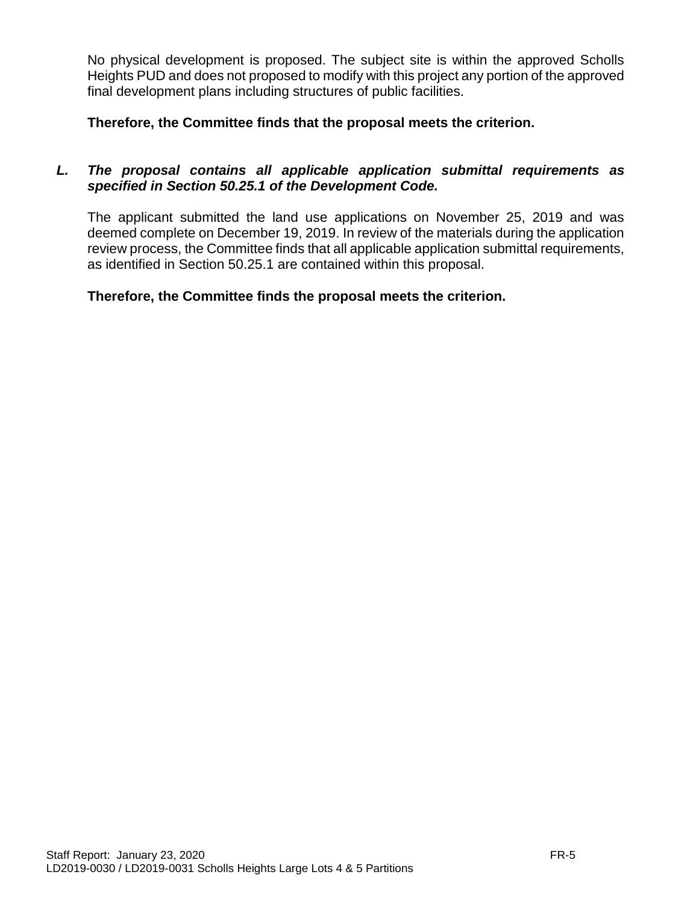No physical development is proposed. The subject site is within the approved Scholls Heights PUD and does not proposed to modify with this project any portion of the approved final development plans including structures of public facilities.

**Therefore, the Committee finds that the proposal meets the criterion.**

## *L. The proposal contains all applicable application submittal requirements as specified in Section 50.25.1 of the Development Code.*

The applicant submitted the land use applications on November 25, 2019 and was deemed complete on December 19, 2019. In review of the materials during the application review process, the Committee finds that all applicable application submittal requirements, as identified in Section 50.25.1 are contained within this proposal.

## **Therefore, the Committee finds the proposal meets the criterion.**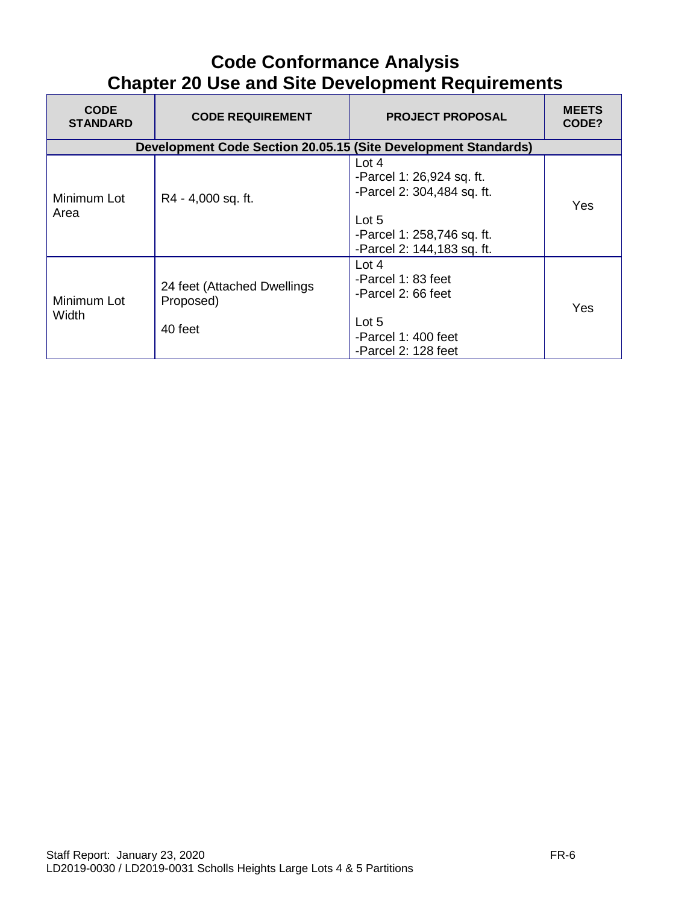## **Code Conformance Analysis Chapter 20 Use and Site Development Requirements**

| <b>CODE</b><br><b>STANDARD</b> | <b>CODE REQUIREMENT</b>                                        | <b>PROJECT PROPOSAL</b>                                                                                                                   | <b>MEETS</b><br>CODE? |
|--------------------------------|----------------------------------------------------------------|-------------------------------------------------------------------------------------------------------------------------------------------|-----------------------|
|                                | Development Code Section 20.05.15 (Site Development Standards) |                                                                                                                                           |                       |
| Minimum Lot<br>Area            | R4 - 4,000 sq. ft.                                             | Lot $4$<br>-Parcel 1: 26,924 sq. ft.<br>-Parcel 2: 304,484 sq. ft.<br>Lot $5$<br>-Parcel 1: 258,746 sq. ft.<br>-Parcel 2: 144,183 sq. ft. | Yes                   |
| Minimum Lot<br>Width           | 24 feet (Attached Dwellings<br>Proposed)<br>40 feet            | Lot $4$<br>-Parcel 1: 83 feet<br>-Parcel 2: 66 feet<br>Lot 5<br>-Parcel 1: 400 feet<br>-Parcel 2: 128 feet                                | Yes                   |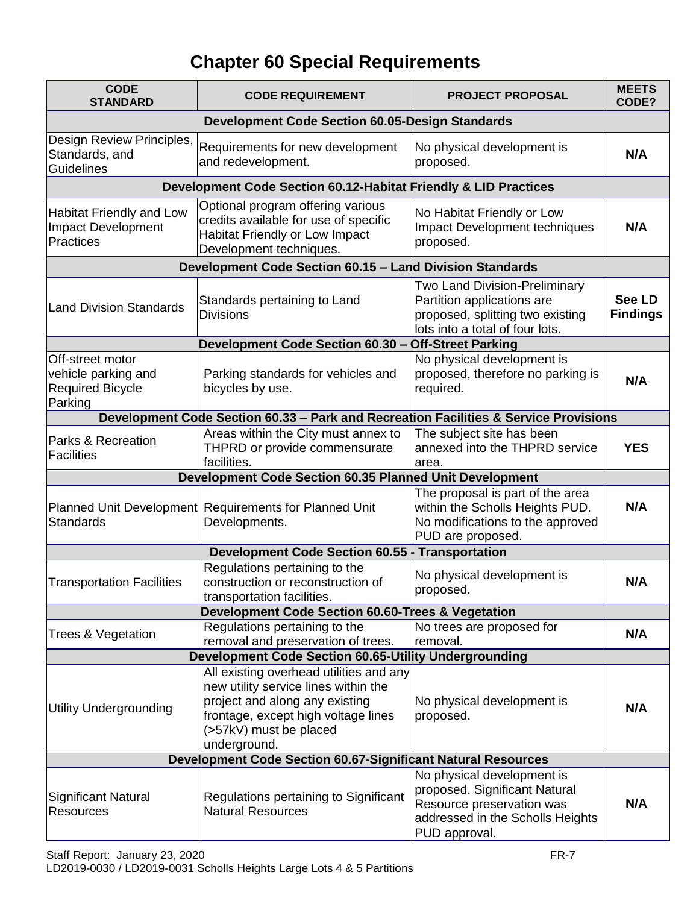# **Chapter 60 Special Requirements**

| <b>CODE</b><br><b>STANDARD</b>                                                | <b>CODE REQUIREMENT</b>                                                                                                                                                                            | <b>PROJECT PROPOSAL</b>                                                                                                                       | <b>MEETS</b><br>CODE?            |  |  |
|-------------------------------------------------------------------------------|----------------------------------------------------------------------------------------------------------------------------------------------------------------------------------------------------|-----------------------------------------------------------------------------------------------------------------------------------------------|----------------------------------|--|--|
|                                                                               | <b>Development Code Section 60.05-Design Standards</b>                                                                                                                                             |                                                                                                                                               |                                  |  |  |
| Design Review Principles,<br>Standards, and<br><b>Guidelines</b>              | Requirements for new development<br>and redevelopment.                                                                                                                                             | No physical development is<br>proposed.                                                                                                       | N/A                              |  |  |
|                                                                               | Development Code Section 60.12-Habitat Friendly & LID Practices                                                                                                                                    |                                                                                                                                               |                                  |  |  |
| <b>Habitat Friendly and Low</b><br><b>Impact Development</b><br>Practices     | Optional program offering various<br>credits available for use of specific<br>Habitat Friendly or Low Impact<br>Development techniques.                                                            | No Habitat Friendly or Low<br>Impact Development techniques<br>proposed.                                                                      | N/A                              |  |  |
|                                                                               | Development Code Section 60.15 - Land Division Standards                                                                                                                                           |                                                                                                                                               |                                  |  |  |
| <b>Land Division Standards</b>                                                | Standards pertaining to Land<br><b>Divisions</b>                                                                                                                                                   | Two Land Division-Preliminary<br>Partition applications are<br>proposed, splitting two existing<br>lots into a total of four lots.            | <b>See LD</b><br><b>Findings</b> |  |  |
|                                                                               | Development Code Section 60.30 - Off-Street Parking                                                                                                                                                |                                                                                                                                               |                                  |  |  |
| Off-street motor<br>vehicle parking and<br><b>Required Bicycle</b><br>Parking | Parking standards for vehicles and<br>bicycles by use.                                                                                                                                             | No physical development is<br>proposed, therefore no parking is<br>required.                                                                  | N/A                              |  |  |
|                                                                               | Development Code Section 60.33 - Park and Recreation Facilities & Service Provisions                                                                                                               |                                                                                                                                               |                                  |  |  |
| Parks & Recreation<br>Facilities                                              | Areas within the City must annex to<br>THPRD or provide commensurate<br>facilities.                                                                                                                | The subject site has been<br>annexed into the THPRD service<br>area.                                                                          | <b>YES</b>                       |  |  |
|                                                                               | Development Code Section 60.35 Planned Unit Development                                                                                                                                            |                                                                                                                                               |                                  |  |  |
| <b>Standards</b>                                                              | Planned Unit Development Requirements for Planned Unit<br>Developments.                                                                                                                            | The proposal is part of the area<br>within the Scholls Heights PUD.<br>No modifications to the approved<br>PUD are proposed.                  | N/A                              |  |  |
|                                                                               | <b>Development Code Section 60.55 - Transportation</b>                                                                                                                                             |                                                                                                                                               |                                  |  |  |
| <b>Transportation Facilities</b>                                              | Regulations pertaining to the<br>construction or reconstruction of<br>transportation facilities.                                                                                                   | No physical development is<br>proposed.                                                                                                       | N/A                              |  |  |
|                                                                               | Development Code Section 60.60-Trees & Vegetation                                                                                                                                                  |                                                                                                                                               |                                  |  |  |
| Trees & Vegetation                                                            | Regulations pertaining to the<br>removal and preservation of trees.                                                                                                                                | No trees are proposed for<br>removal.                                                                                                         | N/A                              |  |  |
|                                                                               | <b>Development Code Section 60.65-Utility Undergrounding</b>                                                                                                                                       |                                                                                                                                               |                                  |  |  |
| <b>Utility Undergrounding</b>                                                 | All existing overhead utilities and any<br>new utility service lines within the<br>project and along any existing<br>frontage, except high voltage lines<br>(>57kV) must be placed<br>underground. | No physical development is<br>proposed.                                                                                                       | N/A                              |  |  |
| <b>Development Code Section 60.67-Significant Natural Resources</b>           |                                                                                                                                                                                                    |                                                                                                                                               |                                  |  |  |
| <b>Significant Natural</b><br><b>Resources</b>                                | Regulations pertaining to Significant<br><b>Natural Resources</b>                                                                                                                                  | No physical development is<br>proposed. Significant Natural<br>Resource preservation was<br>addressed in the Scholls Heights<br>PUD approval. | N/A                              |  |  |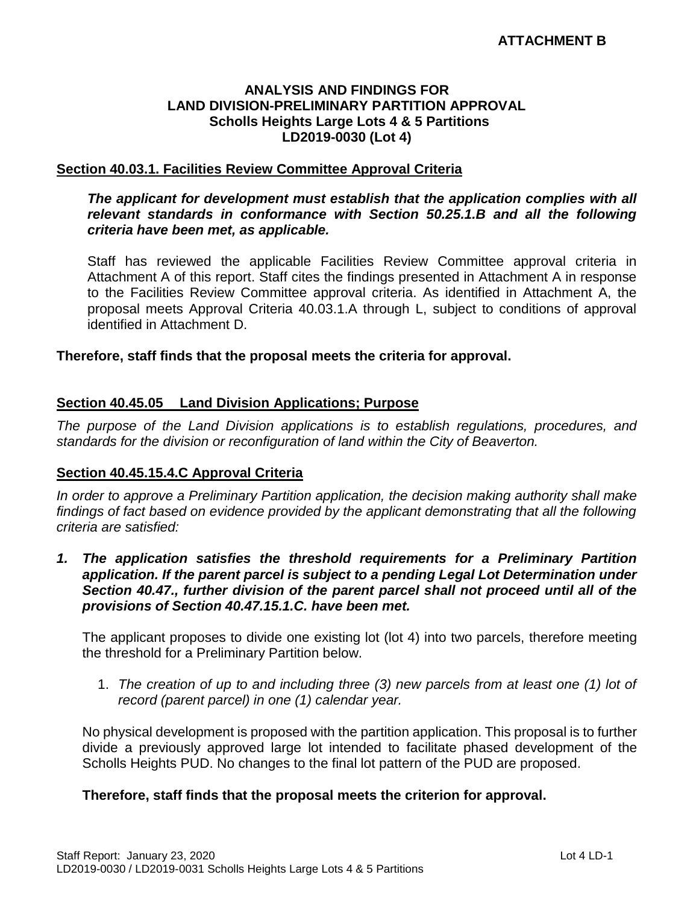#### **ANALYSIS AND FINDINGS FOR LAND DIVISION-PRELIMINARY PARTITION APPROVAL Scholls Heights Large Lots 4 & 5 Partitions LD2019-0030 (Lot 4)**

#### **Section 40.03.1. Facilities Review Committee Approval Criteria**

#### *The applicant for development must establish that the application complies with all relevant standards in conformance with Section 50.25.1.B and all the following criteria have been met, as applicable.*

Staff has reviewed the applicable Facilities Review Committee approval criteria in Attachment A of this report. Staff cites the findings presented in Attachment A in response to the Facilities Review Committee approval criteria. As identified in Attachment A, the proposal meets Approval Criteria 40.03.1.A through L, subject to conditions of approval identified in Attachment D.

#### **Therefore, staff finds that the proposal meets the criteria for approval.**

#### **Section 40.45.05 Land Division Applications; Purpose**

*The purpose of the Land Division applications is to establish regulations, procedures, and standards for the division or reconfiguration of land within the City of Beaverton.* 

#### **Section 40.45.15.4.C Approval Criteria**

*In order to approve a Preliminary Partition application, the decision making authority shall make findings of fact based on evidence provided by the applicant demonstrating that all the following criteria are satisfied:*

*1. The application satisfies the threshold requirements for a Preliminary Partition application. If the parent parcel is subject to a pending Legal Lot Determination under Section 40.47., further division of the parent parcel shall not proceed until all of the provisions of Section 40.47.15.1.C. have been met.*

The applicant proposes to divide one existing lot (lot 4) into two parcels, therefore meeting the threshold for a Preliminary Partition below.

1. *The creation of up to and including three (3) new parcels from at least one (1) lot of record (parent parcel) in one (1) calendar year.*

No physical development is proposed with the partition application. This proposal is to further divide a previously approved large lot intended to facilitate phased development of the Scholls Heights PUD. No changes to the final lot pattern of the PUD are proposed.

#### **Therefore, staff finds that the proposal meets the criterion for approval.**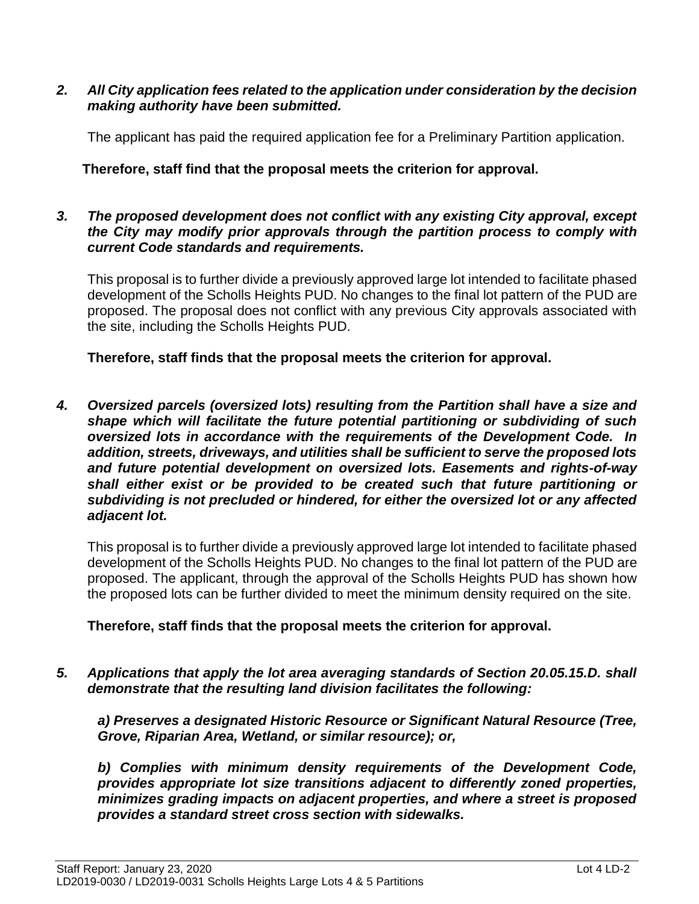#### *2. All City application fees related to the application under consideration by the decision making authority have been submitted.*

The applicant has paid the required application fee for a Preliminary Partition application.

## **Therefore, staff find that the proposal meets the criterion for approval.**

#### *3. The proposed development does not conflict with any existing City approval, except the City may modify prior approvals through the partition process to comply with current Code standards and requirements.*

This proposal is to further divide a previously approved large lot intended to facilitate phased development of the Scholls Heights PUD. No changes to the final lot pattern of the PUD are proposed. The proposal does not conflict with any previous City approvals associated with the site, including the Scholls Heights PUD.

**Therefore, staff finds that the proposal meets the criterion for approval.**

*4. Oversized parcels (oversized lots) resulting from the Partition shall have a size and shape which will facilitate the future potential partitioning or subdividing of such oversized lots in accordance with the requirements of the Development Code. In addition, streets, driveways, and utilities shall be sufficient to serve the proposed lots and future potential development on oversized lots. Easements and rights-of-way shall either exist or be provided to be created such that future partitioning or subdividing is not precluded or hindered, for either the oversized lot or any affected adjacent lot.*

This proposal is to further divide a previously approved large lot intended to facilitate phased development of the Scholls Heights PUD. No changes to the final lot pattern of the PUD are proposed. The applicant, through the approval of the Scholls Heights PUD has shown how the proposed lots can be further divided to meet the minimum density required on the site.

## **Therefore, staff finds that the proposal meets the criterion for approval.**

*5. Applications that apply the lot area averaging standards of Section 20.05.15.D. shall demonstrate that the resulting land division facilitates the following:* 

*a) Preserves a designated Historic Resource or Significant Natural Resource (Tree, Grove, Riparian Area, Wetland, or similar resource); or,* 

*b) Complies with minimum density requirements of the Development Code, provides appropriate lot size transitions adjacent to differently zoned properties, minimizes grading impacts on adjacent properties, and where a street is proposed provides a standard street cross section with sidewalks.*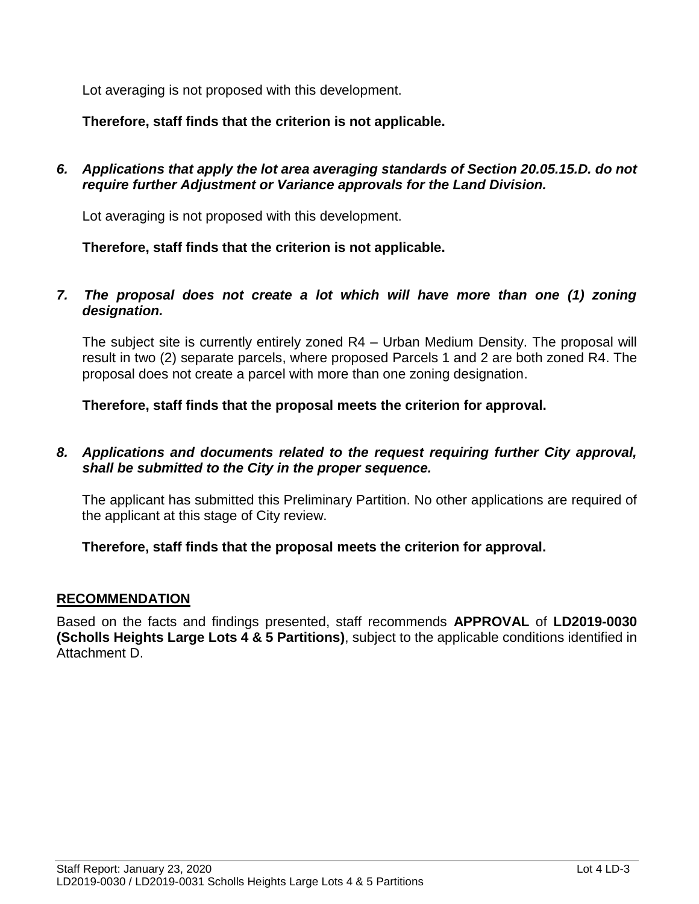Lot averaging is not proposed with this development.

**Therefore, staff finds that the criterion is not applicable.**

*6. Applications that apply the lot area averaging standards of Section 20.05.15.D. do not require further Adjustment or Variance approvals for the Land Division.*

Lot averaging is not proposed with this development.

**Therefore, staff finds that the criterion is not applicable.**

*7. The proposal does not create a lot which will have more than one (1) zoning designation.*

The subject site is currently entirely zoned R4 – Urban Medium Density. The proposal will result in two (2) separate parcels, where proposed Parcels 1 and 2 are both zoned R4. The proposal does not create a parcel with more than one zoning designation.

**Therefore, staff finds that the proposal meets the criterion for approval.**

*8. Applications and documents related to the request requiring further City approval, shall be submitted to the City in the proper sequence.*

The applicant has submitted this Preliminary Partition. No other applications are required of the applicant at this stage of City review.

## **Therefore, staff finds that the proposal meets the criterion for approval.**

#### **RECOMMENDATION**

Based on the facts and findings presented, staff recommends **APPROVAL** of **LD2019-0030 (Scholls Heights Large Lots 4 & 5 Partitions)**, subject to the applicable conditions identified in Attachment D.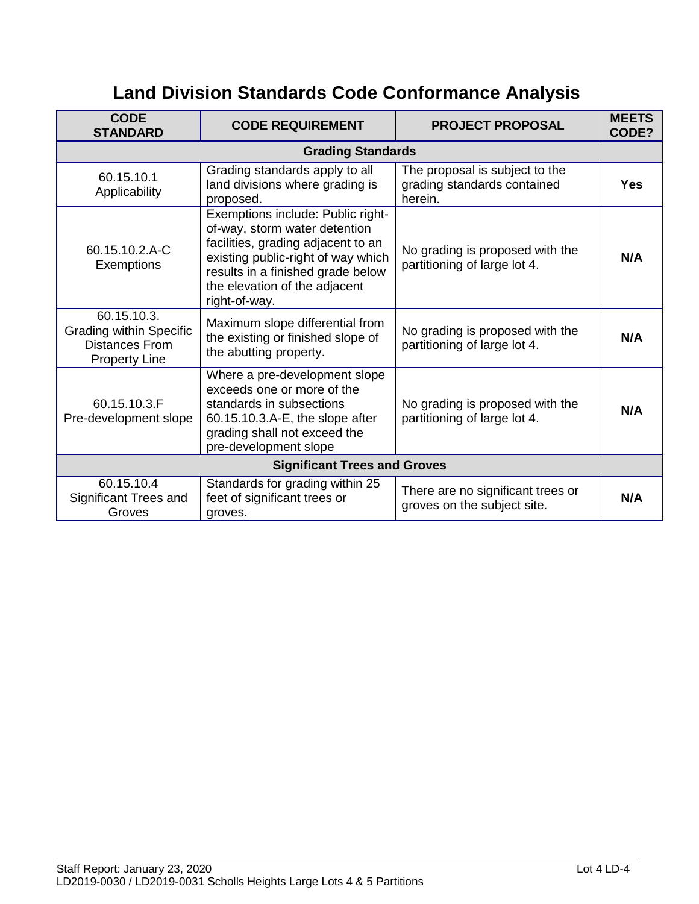# **Land Division Standards Code Conformance Analysis**

| <b>CODE</b><br><b>STANDARD</b>                                                                 | <b>CODE REQUIREMENT</b>                                                                                                                                                                                                               | <b>PROJECT PROPOSAL</b>                                                  | <b>MEETS</b><br>CODE? |  |
|------------------------------------------------------------------------------------------------|---------------------------------------------------------------------------------------------------------------------------------------------------------------------------------------------------------------------------------------|--------------------------------------------------------------------------|-----------------------|--|
|                                                                                                | <b>Grading Standards</b>                                                                                                                                                                                                              |                                                                          |                       |  |
| 60.15.10.1<br>Applicability                                                                    | Grading standards apply to all<br>land divisions where grading is<br>proposed.                                                                                                                                                        | The proposal is subject to the<br>grading standards contained<br>herein. | <b>Yes</b>            |  |
| 60.15.10.2.A-C<br><b>Exemptions</b>                                                            | Exemptions include: Public right-<br>of-way, storm water detention<br>facilities, grading adjacent to an<br>existing public-right of way which<br>results in a finished grade below<br>the elevation of the adjacent<br>right-of-way. | No grading is proposed with the<br>partitioning of large lot 4.          | N/A                   |  |
| 60.15.10.3.<br><b>Grading within Specific</b><br><b>Distances From</b><br><b>Property Line</b> | Maximum slope differential from<br>the existing or finished slope of<br>the abutting property.                                                                                                                                        | No grading is proposed with the<br>partitioning of large lot 4.          | N/A                   |  |
| 60.15.10.3.F<br>Pre-development slope                                                          | Where a pre-development slope<br>exceeds one or more of the<br>standards in subsections<br>60.15.10.3.A-E, the slope after<br>grading shall not exceed the<br>pre-development slope                                                   | No grading is proposed with the<br>partitioning of large lot 4.          | N/A                   |  |
| <b>Significant Trees and Groves</b>                                                            |                                                                                                                                                                                                                                       |                                                                          |                       |  |
| 60.15.10.4<br>Significant Trees and<br>Groves                                                  | Standards for grading within 25<br>feet of significant trees or<br>groves.                                                                                                                                                            | There are no significant trees or<br>groves on the subject site.         | N/A                   |  |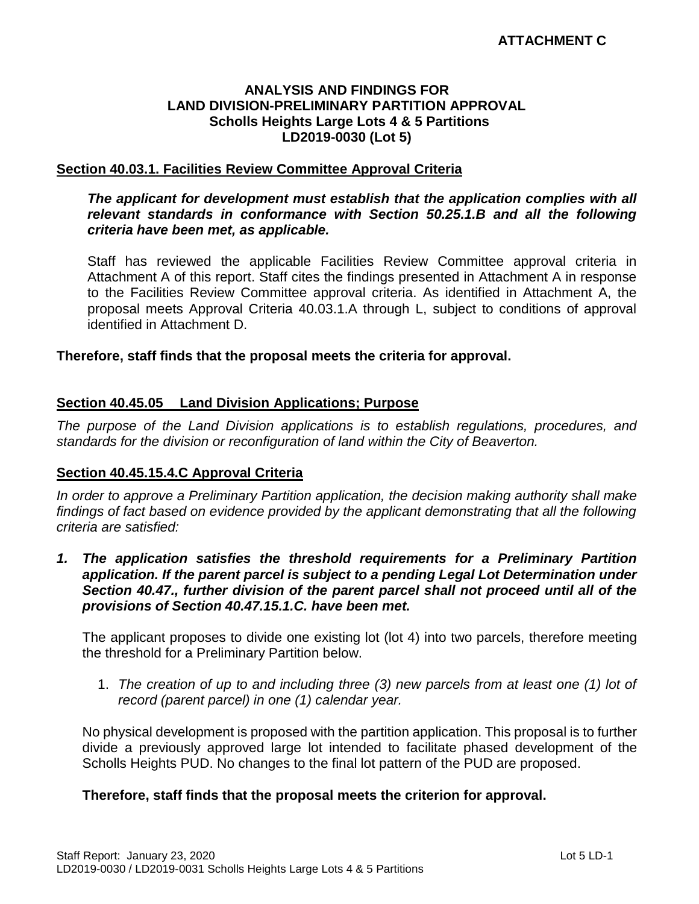#### **ANALYSIS AND FINDINGS FOR LAND DIVISION-PRELIMINARY PARTITION APPROVAL Scholls Heights Large Lots 4 & 5 Partitions LD2019-0030 (Lot 5)**

#### **Section 40.03.1. Facilities Review Committee Approval Criteria**

#### *The applicant for development must establish that the application complies with all relevant standards in conformance with Section 50.25.1.B and all the following criteria have been met, as applicable.*

Staff has reviewed the applicable Facilities Review Committee approval criteria in Attachment A of this report. Staff cites the findings presented in Attachment A in response to the Facilities Review Committee approval criteria. As identified in Attachment A, the proposal meets Approval Criteria 40.03.1.A through L, subject to conditions of approval identified in Attachment D.

#### **Therefore, staff finds that the proposal meets the criteria for approval.**

#### **Section 40.45.05 Land Division Applications; Purpose**

*The purpose of the Land Division applications is to establish regulations, procedures, and standards for the division or reconfiguration of land within the City of Beaverton.* 

#### **Section 40.45.15.4.C Approval Criteria**

*In order to approve a Preliminary Partition application, the decision making authority shall make findings of fact based on evidence provided by the applicant demonstrating that all the following criteria are satisfied:*

1. The application satisfies the threshold requirements for a Preliminary Partition *application. If the parent parcel is subject to a pending Legal Lot Determination under Section 40.47., further division of the parent parcel shall not proceed until all of the provisions of Section 40.47.15.1.C. have been met.*

The applicant proposes to divide one existing lot (lot 4) into two parcels, therefore meeting the threshold for a Preliminary Partition below.

1. *The creation of up to and including three (3) new parcels from at least one (1) lot of record (parent parcel) in one (1) calendar year.*

No physical development is proposed with the partition application. This proposal is to further divide a previously approved large lot intended to facilitate phased development of the Scholls Heights PUD. No changes to the final lot pattern of the PUD are proposed.

#### **Therefore, staff finds that the proposal meets the criterion for approval.**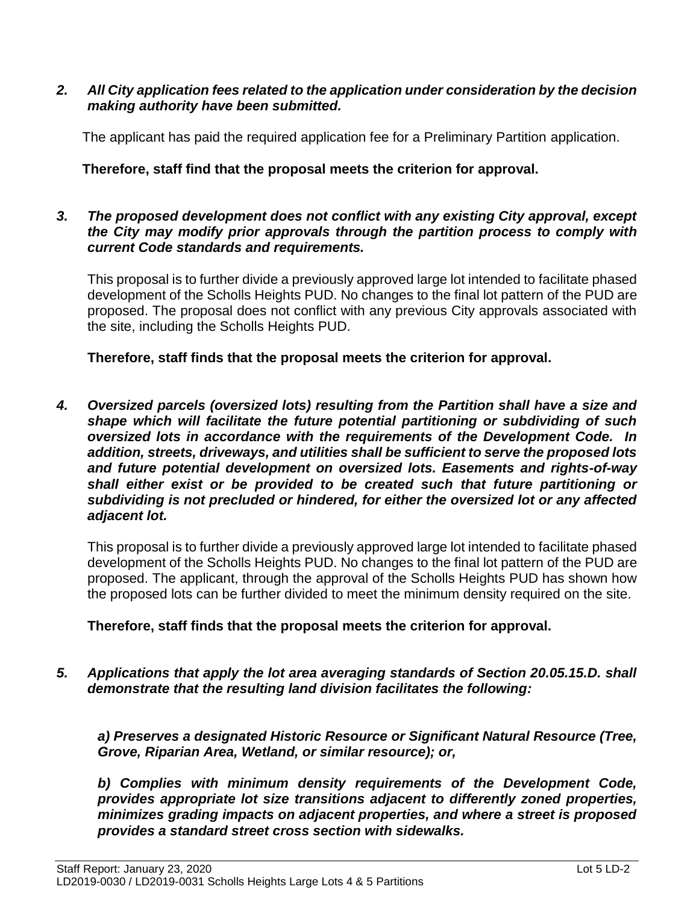#### *2. All City application fees related to the application under consideration by the decision making authority have been submitted.*

The applicant has paid the required application fee for a Preliminary Partition application.

## **Therefore, staff find that the proposal meets the criterion for approval.**

#### *3. The proposed development does not conflict with any existing City approval, except the City may modify prior approvals through the partition process to comply with current Code standards and requirements.*

This proposal is to further divide a previously approved large lot intended to facilitate phased development of the Scholls Heights PUD. No changes to the final lot pattern of the PUD are proposed. The proposal does not conflict with any previous City approvals associated with the site, including the Scholls Heights PUD.

**Therefore, staff finds that the proposal meets the criterion for approval.**

*4. Oversized parcels (oversized lots) resulting from the Partition shall have a size and shape which will facilitate the future potential partitioning or subdividing of such oversized lots in accordance with the requirements of the Development Code. In addition, streets, driveways, and utilities shall be sufficient to serve the proposed lots and future potential development on oversized lots. Easements and rights-of-way shall either exist or be provided to be created such that future partitioning or subdividing is not precluded or hindered, for either the oversized lot or any affected adjacent lot.*

This proposal is to further divide a previously approved large lot intended to facilitate phased development of the Scholls Heights PUD. No changes to the final lot pattern of the PUD are proposed. The applicant, through the approval of the Scholls Heights PUD has shown how the proposed lots can be further divided to meet the minimum density required on the site.

## **Therefore, staff finds that the proposal meets the criterion for approval.**

*5. Applications that apply the lot area averaging standards of Section 20.05.15.D. shall demonstrate that the resulting land division facilitates the following:* 

*a) Preserves a designated Historic Resource or Significant Natural Resource (Tree, Grove, Riparian Area, Wetland, or similar resource); or,* 

*b) Complies with minimum density requirements of the Development Code, provides appropriate lot size transitions adjacent to differently zoned properties, minimizes grading impacts on adjacent properties, and where a street is proposed provides a standard street cross section with sidewalks.*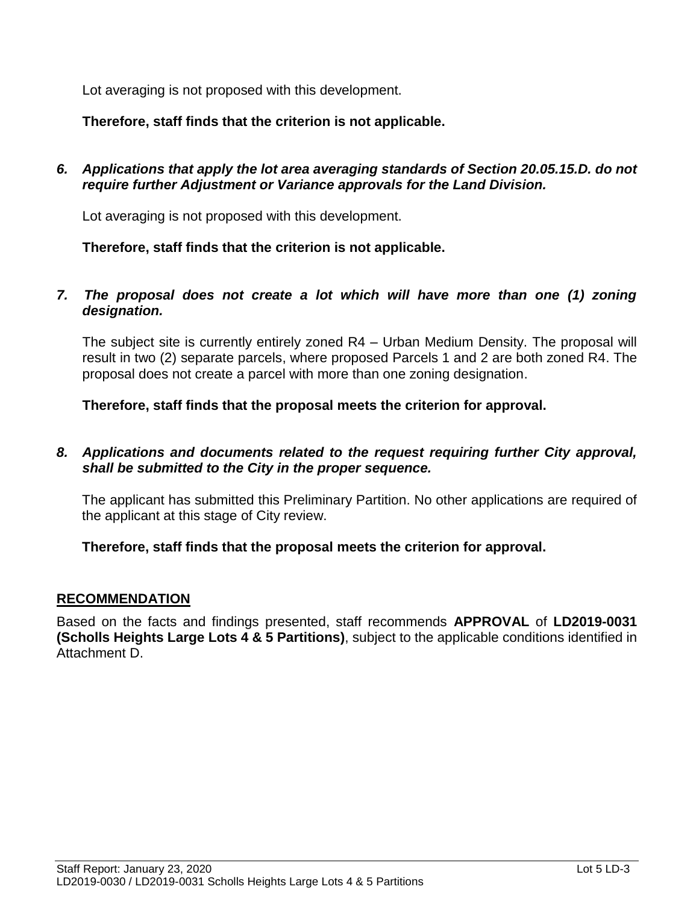Lot averaging is not proposed with this development.

**Therefore, staff finds that the criterion is not applicable.**

*6. Applications that apply the lot area averaging standards of Section 20.05.15.D. do not require further Adjustment or Variance approvals for the Land Division.*

Lot averaging is not proposed with this development.

**Therefore, staff finds that the criterion is not applicable.**

*7. The proposal does not create a lot which will have more than one (1) zoning designation.*

The subject site is currently entirely zoned R4 – Urban Medium Density. The proposal will result in two (2) separate parcels, where proposed Parcels 1 and 2 are both zoned R4. The proposal does not create a parcel with more than one zoning designation.

**Therefore, staff finds that the proposal meets the criterion for approval.**

*8. Applications and documents related to the request requiring further City approval, shall be submitted to the City in the proper sequence.*

The applicant has submitted this Preliminary Partition. No other applications are required of the applicant at this stage of City review.

## **Therefore, staff finds that the proposal meets the criterion for approval.**

#### **RECOMMENDATION**

Based on the facts and findings presented, staff recommends **APPROVAL** of **LD2019-0031 (Scholls Heights Large Lots 4 & 5 Partitions)**, subject to the applicable conditions identified in Attachment D.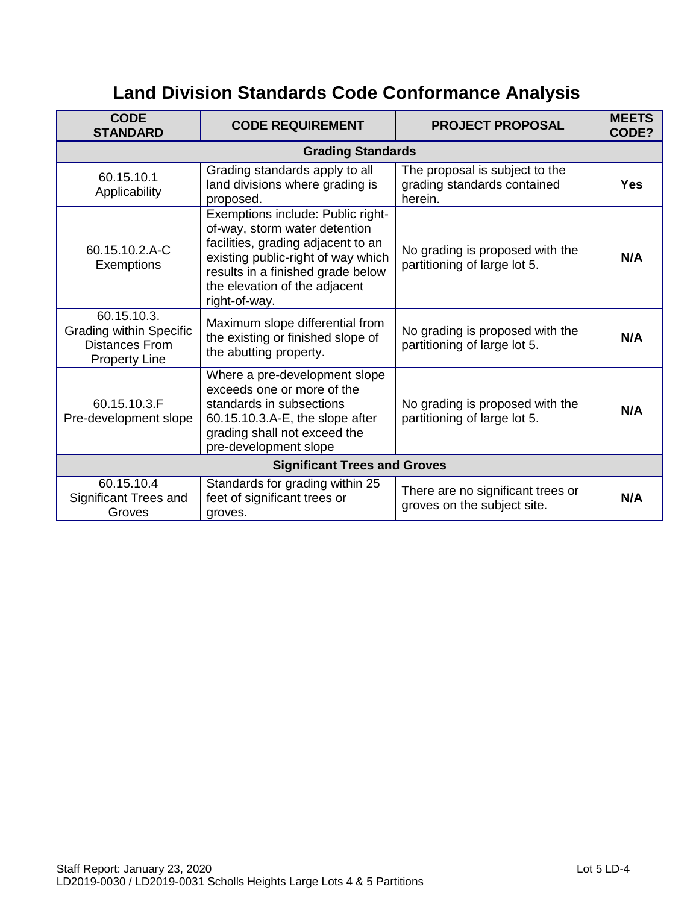# **Land Division Standards Code Conformance Analysis**

| <b>CODE</b><br><b>STANDARD</b>                                                                 | <b>CODE REQUIREMENT</b>                                                                                                                                                                                                               | <b>PROJECT PROPOSAL</b>                                                  | <b>MEETS</b><br>CODE? |  |  |
|------------------------------------------------------------------------------------------------|---------------------------------------------------------------------------------------------------------------------------------------------------------------------------------------------------------------------------------------|--------------------------------------------------------------------------|-----------------------|--|--|
|                                                                                                | <b>Grading Standards</b>                                                                                                                                                                                                              |                                                                          |                       |  |  |
| 60.15.10.1<br>Applicability                                                                    | Grading standards apply to all<br>land divisions where grading is<br>proposed.                                                                                                                                                        | The proposal is subject to the<br>grading standards contained<br>herein. | <b>Yes</b>            |  |  |
| 60.15.10.2.A-C<br>Exemptions                                                                   | Exemptions include: Public right-<br>of-way, storm water detention<br>facilities, grading adjacent to an<br>existing public-right of way which<br>results in a finished grade below<br>the elevation of the adjacent<br>right-of-way. | No grading is proposed with the<br>partitioning of large lot 5.          | N/A                   |  |  |
| 60.15.10.3.<br><b>Grading within Specific</b><br><b>Distances From</b><br><b>Property Line</b> | Maximum slope differential from<br>the existing or finished slope of<br>the abutting property.                                                                                                                                        | No grading is proposed with the<br>partitioning of large lot 5.          | N/A                   |  |  |
| 60.15.10.3.F<br>Pre-development slope                                                          | Where a pre-development slope<br>exceeds one or more of the<br>standards in subsections<br>60.15.10.3.A-E, the slope after<br>grading shall not exceed the<br>pre-development slope                                                   | No grading is proposed with the<br>partitioning of large lot 5.          | N/A                   |  |  |
| <b>Significant Trees and Groves</b>                                                            |                                                                                                                                                                                                                                       |                                                                          |                       |  |  |
| 60.15.10.4<br>Significant Trees and<br>Groves                                                  | Standards for grading within 25<br>feet of significant trees or<br>groves.                                                                                                                                                            | There are no significant trees or<br>groves on the subject site.         | N/A                   |  |  |